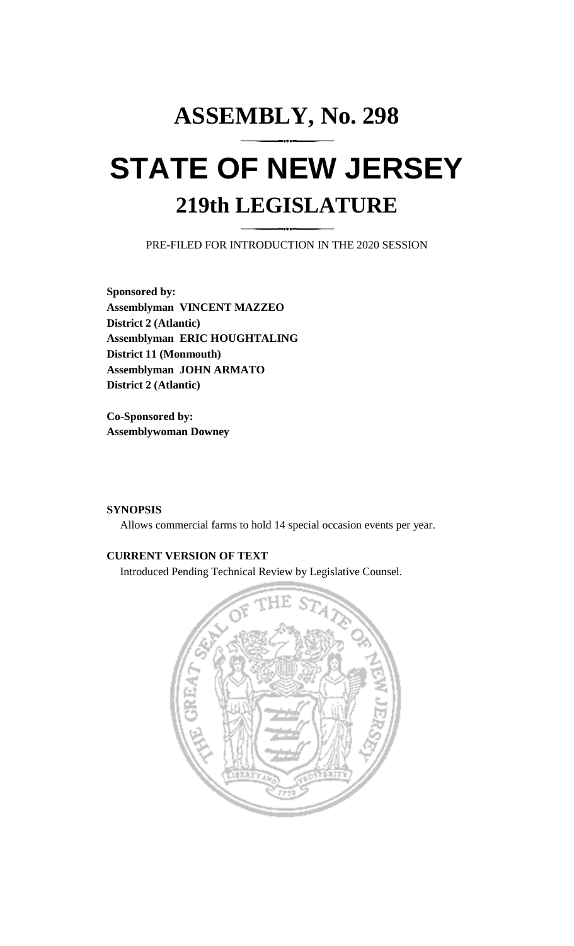# **ASSEMBLY, No. 298 STATE OF NEW JERSEY 219th LEGISLATURE**

PRE-FILED FOR INTRODUCTION IN THE 2020 SESSION

**Sponsored by: Assemblyman VINCENT MAZZEO District 2 (Atlantic) Assemblyman ERIC HOUGHTALING District 11 (Monmouth) Assemblyman JOHN ARMATO District 2 (Atlantic)**

**Co-Sponsored by: Assemblywoman Downey**

## **SYNOPSIS**

Allows commercial farms to hold 14 special occasion events per year.

## **CURRENT VERSION OF TEXT**

Introduced Pending Technical Review by Legislative Counsel.

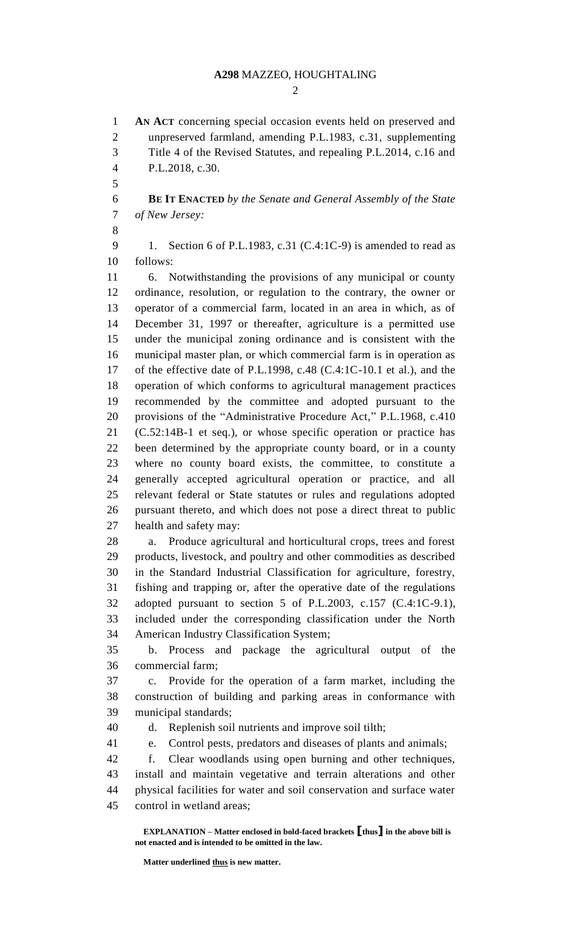### **A298** MAZZEO, HOUGHTALING

 $\mathcal{D}$ 

**EXPLANATION – Matter enclosed in bold-faced brackets [thus] in the above bill is AN ACT** concerning special occasion events held on preserved and unpreserved farmland, amending P.L.1983, c.31, supplementing Title 4 of the Revised Statutes, and repealing P.L.2014, c.16 and P.L.2018, c.30. **BE IT ENACTED** *by the Senate and General Assembly of the State of New Jersey:* 9 1. Section 6 of P.L.1983, c.31 (C.4:1C-9) is amended to read as follows: 6. Notwithstanding the provisions of any municipal or county ordinance, resolution, or regulation to the contrary, the owner or operator of a commercial farm, located in an area in which, as of December 31, 1997 or thereafter, agriculture is a permitted use under the municipal zoning ordinance and is consistent with the municipal master plan, or which commercial farm is in operation as of the effective date of P.L.1998, c.48 (C.4:1C-10.1 et al.), and the operation of which conforms to agricultural management practices recommended by the committee and adopted pursuant to the provisions of the "Administrative Procedure Act," P.L.1968, c.410 (C.52:14B-1 et seq.), or whose specific operation or practice has been determined by the appropriate county board, or in a county where no county board exists, the committee, to constitute a generally accepted agricultural operation or practice, and all relevant federal or State statutes or rules and regulations adopted pursuant thereto, and which does not pose a direct threat to public health and safety may: a. Produce agricultural and horticultural crops, trees and forest products, livestock, and poultry and other commodities as described in the Standard Industrial Classification for agriculture, forestry, fishing and trapping or, after the operative date of the regulations adopted pursuant to section 5 of P.L.2003, c.157 (C.4:1C-9.1), included under the corresponding classification under the North American Industry Classification System; b. Process and package the agricultural output of the commercial farm; c. Provide for the operation of a farm market, including the construction of building and parking areas in conformance with municipal standards; d. Replenish soil nutrients and improve soil tilth; e. Control pests, predators and diseases of plants and animals; f. Clear woodlands using open burning and other techniques, install and maintain vegetative and terrain alterations and other physical facilities for water and soil conservation and surface water control in wetland areas;

**not enacted and is intended to be omitted in the law.**

**Matter underlined thus is new matter.**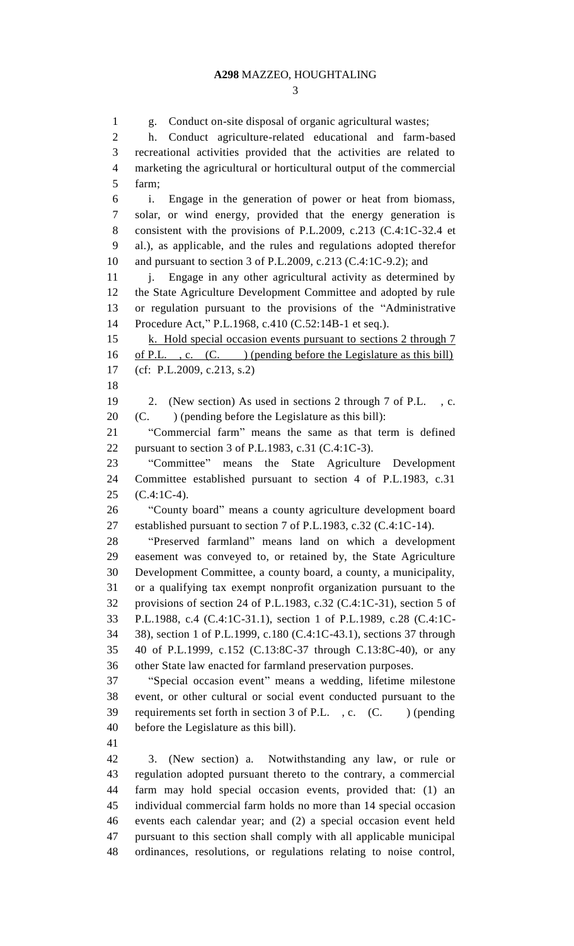g. Conduct on-site disposal of organic agricultural wastes; h. Conduct agriculture-related educational and farm-based recreational activities provided that the activities are related to marketing the agricultural or horticultural output of the commercial farm; i. Engage in the generation of power or heat from biomass, solar, or wind energy, provided that the energy generation is consistent with the provisions of P.L.2009, c.213 (C.4:1C-32.4 et al.), as applicable, and the rules and regulations adopted therefor and pursuant to section 3 of P.L.2009, c.213 (C.4:1C-9.2); and 11 i. Engage in any other agricultural activity as determined by the State Agriculture Development Committee and adopted by rule or regulation pursuant to the provisions of the "Administrative Procedure Act," P.L.1968, c.410 (C.52:14B-1 et seq.). 15 k. Hold special occasion events pursuant to sections 2 through 7 of P.L. , c. (C. ) (pending before the Legislature as this bill) (cf: P.L.2009, c.213, s.2) 2. (New section) As used in sections 2 through 7 of P.L. , c. (C. ) (pending before the Legislature as this bill): "Commercial farm" means the same as that term is defined pursuant to section 3 of P.L.1983, c.31 (C.4:1C-3). "Committee" means the State Agriculture Development Committee established pursuant to section 4 of P.L.1983, c.31 (C.4:1C-4). "County board" means a county agriculture development board established pursuant to section 7 of P.L.1983, c.32 (C.4:1C-14). "Preserved farmland" means land on which a development easement was conveyed to, or retained by, the State Agriculture Development Committee, a county board, a county, a municipality, or a qualifying tax exempt nonprofit organization pursuant to the provisions of section 24 of P.L.1983, c.32 (C.4:1C-31), section 5 of P.L.1988, c.4 (C.4:1C-31.1), section 1 of P.L.1989, c.28 (C.4:1C- 38), section 1 of P.L.1999, c.180 (C.4:1C-43.1), sections 37 through 40 of P.L.1999, c.152 (C.13:8C-37 through C.13:8C-40), or any other State law enacted for farmland preservation purposes. "Special occasion event" means a wedding, lifetime milestone event, or other cultural or social event conducted pursuant to the 39 requirements set forth in section 3 of P.L., c. (C. ) (pending before the Legislature as this bill). 3. (New section) a. Notwithstanding any law, or rule or regulation adopted pursuant thereto to the contrary, a commercial farm may hold special occasion events, provided that: (1) an individual commercial farm holds no more than 14 special occasion events each calendar year; and (2) a special occasion event held pursuant to this section shall comply with all applicable municipal

ordinances, resolutions, or regulations relating to noise control,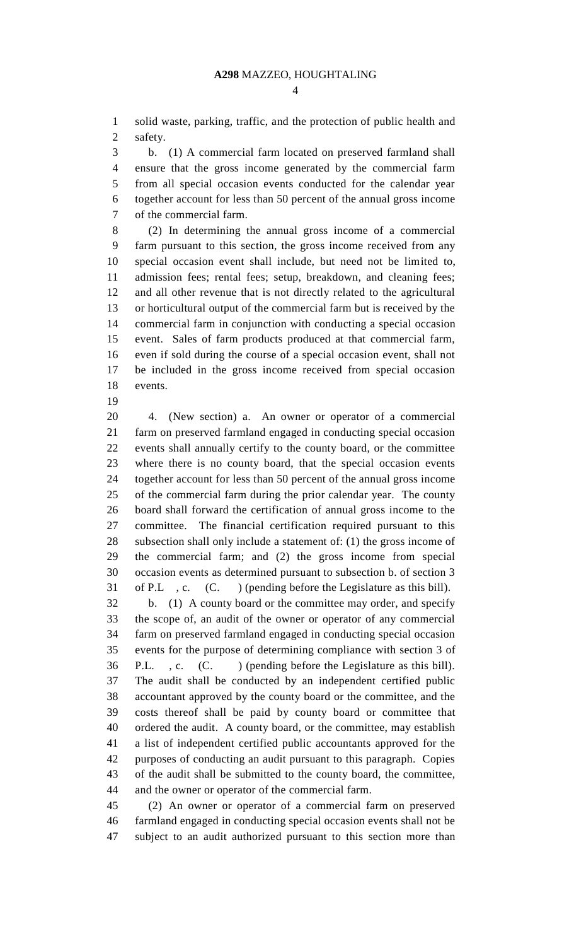solid waste, parking, traffic, and the protection of public health and safety.

 b. (1) A commercial farm located on preserved farmland shall ensure that the gross income generated by the commercial farm from all special occasion events conducted for the calendar year together account for less than 50 percent of the annual gross income of the commercial farm.

 (2) In determining the annual gross income of a commercial farm pursuant to this section, the gross income received from any special occasion event shall include, but need not be limited to, admission fees; rental fees; setup, breakdown, and cleaning fees; and all other revenue that is not directly related to the agricultural or horticultural output of the commercial farm but is received by the commercial farm in conjunction with conducting a special occasion event. Sales of farm products produced at that commercial farm, even if sold during the course of a special occasion event, shall not be included in the gross income received from special occasion events.

 4. (New section) a. An owner or operator of a commercial farm on preserved farmland engaged in conducting special occasion events shall annually certify to the county board, or the committee where there is no county board, that the special occasion events together account for less than 50 percent of the annual gross income of the commercial farm during the prior calendar year. The county board shall forward the certification of annual gross income to the committee. The financial certification required pursuant to this subsection shall only include a statement of: (1) the gross income of the commercial farm; and (2) the gross income from special occasion events as determined pursuant to subsection b. of section 3 of P.L , c. (C. ) (pending before the Legislature as this bill). b. (1) A county board or the committee may order, and specify the scope of, an audit of the owner or operator of any commercial farm on preserved farmland engaged in conducting special occasion events for the purpose of determining compliance with section 3 of P.L. , c. (C. ) (pending before the Legislature as this bill).

 The audit shall be conducted by an independent certified public accountant approved by the county board or the committee, and the costs thereof shall be paid by county board or committee that ordered the audit. A county board, or the committee, may establish a list of independent certified public accountants approved for the purposes of conducting an audit pursuant to this paragraph. Copies of the audit shall be submitted to the county board, the committee, and the owner or operator of the commercial farm.

 (2) An owner or operator of a commercial farm on preserved farmland engaged in conducting special occasion events shall not be subject to an audit authorized pursuant to this section more than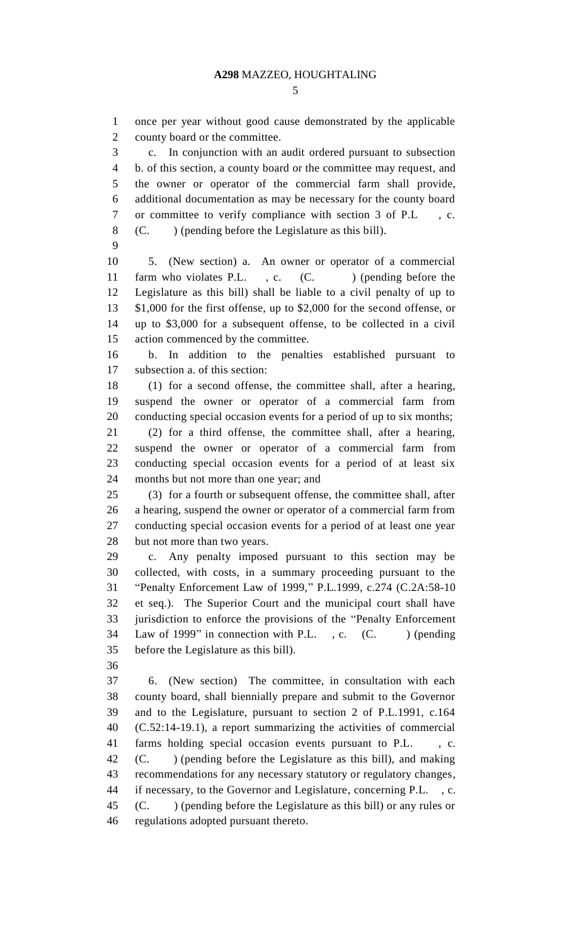once per year without good cause demonstrated by the applicable county board or the committee.

 c. In conjunction with an audit ordered pursuant to subsection b. of this section, a county board or the committee may request, and the owner or operator of the commercial farm shall provide, additional documentation as may be necessary for the county board or committee to verify compliance with section 3 of P.L , c. (C. ) (pending before the Legislature as this bill).

 5. (New section) a. An owner or operator of a commercial 11 farm who violates P.L., c. (C.) (pending before the Legislature as this bill) shall be liable to a civil penalty of up to \$1,000 for the first offense, up to \$2,000 for the second offense, or up to \$3,000 for a subsequent offense, to be collected in a civil action commenced by the committee.

 b. In addition to the penalties established pursuant to subsection a. of this section:

 (1) for a second offense, the committee shall, after a hearing, suspend the owner or operator of a commercial farm from conducting special occasion events for a period of up to six months; (2) for a third offense, the committee shall, after a hearing, suspend the owner or operator of a commercial farm from conducting special occasion events for a period of at least six months but not more than one year; and

 (3) for a fourth or subsequent offense, the committee shall, after a hearing, suspend the owner or operator of a commercial farm from conducting special occasion events for a period of at least one year but not more than two years.

 c. Any penalty imposed pursuant to this section may be collected, with costs, in a summary proceeding pursuant to the "Penalty Enforcement Law of 1999," P.L.1999, c.274 (C.2A:58-10 et seq.). The Superior Court and the municipal court shall have jurisdiction to enforce the provisions of the "Penalty Enforcement 34 Law of 1999" in connection with P.L., c. (C. ) (pending before the Legislature as this bill).

 6. (New section) The committee, in consultation with each county board, shall biennially prepare and submit to the Governor and to the Legislature, pursuant to section 2 of P.L.1991, c.164 (C.52:14-19.1), a report summarizing the activities of commercial farms holding special occasion events pursuant to P.L. , c. (C. ) (pending before the Legislature as this bill), and making recommendations for any necessary statutory or regulatory changes, if necessary, to the Governor and Legislature, concerning P.L. , c. (C. ) (pending before the Legislature as this bill) or any rules or regulations adopted pursuant thereto.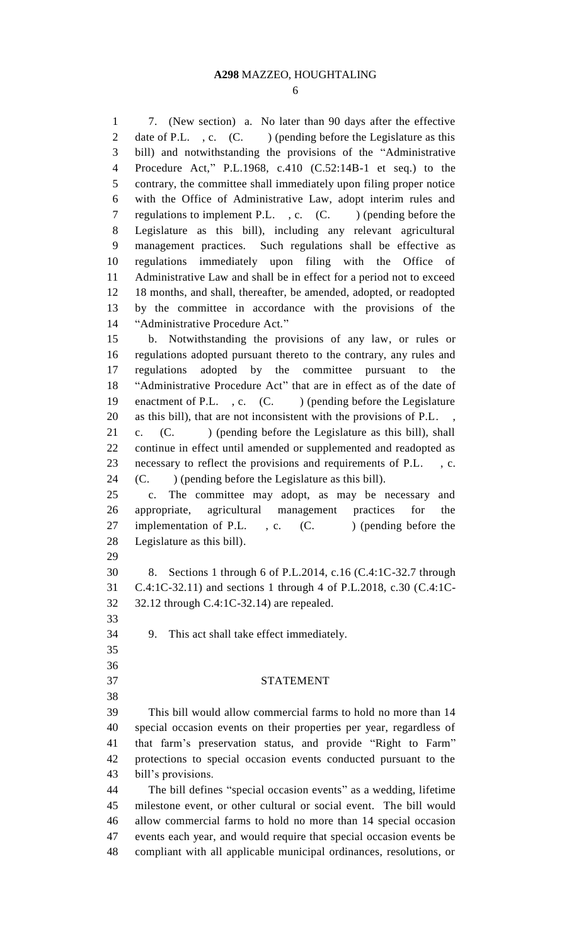#### **A298** MAZZEO, HOUGHTALING

 7. (New section) a. No later than 90 days after the effective 2 date of P.L., c. (C.) (pending before the Legislature as this bill) and notwithstanding the provisions of the "Administrative Procedure Act," P.L.1968, c.410 (C.52:14B-1 et seq.) to the contrary, the committee shall immediately upon filing proper notice with the Office of Administrative Law, adopt interim rules and 7 regulations to implement P.L., c. (C.) (pending before the Legislature as this bill), including any relevant agricultural management practices. Such regulations shall be effective as regulations immediately upon filing with the Office of Administrative Law and shall be in effect for a period not to exceed 18 months, and shall, thereafter, be amended, adopted, or readopted by the committee in accordance with the provisions of the "Administrative Procedure Act." b. Notwithstanding the provisions of any law, or rules or regulations adopted pursuant thereto to the contrary, any rules and regulations adopted by the committee pursuant to the "Administrative Procedure Act" that are in effect as of the date of 19 enactment of P.L., c. (C.) (pending before the Legislature as this bill), that are not inconsistent with the provisions of P.L. ,

 c. (C. ) (pending before the Legislature as this bill), shall continue in effect until amended or supplemented and readopted as necessary to reflect the provisions and requirements of P.L. , c. (C. ) (pending before the Legislature as this bill).

 c. The committee may adopt, as may be necessary and appropriate, agricultural management practices for the 27 implementation of P.L., c. (C.) (pending before the Legislature as this bill).

 8. Sections 1 through 6 of P.L.2014, c.16 (C.4:1C-32.7 through C.4:1C-32.11) and sections 1 through 4 of P.L.2018, c.30 (C.4:1C-32.12 through C.4:1C-32.14) are repealed.

9. This act shall take effect immediately.

 

STATEMENT

 This bill would allow commercial farms to hold no more than 14 special occasion events on their properties per year, regardless of that farm's preservation status, and provide "Right to Farm" protections to special occasion events conducted pursuant to the bill's provisions.

 The bill defines "special occasion events" as a wedding, lifetime milestone event, or other cultural or social event. The bill would allow commercial farms to hold no more than 14 special occasion events each year, and would require that special occasion events be compliant with all applicable municipal ordinances, resolutions, or